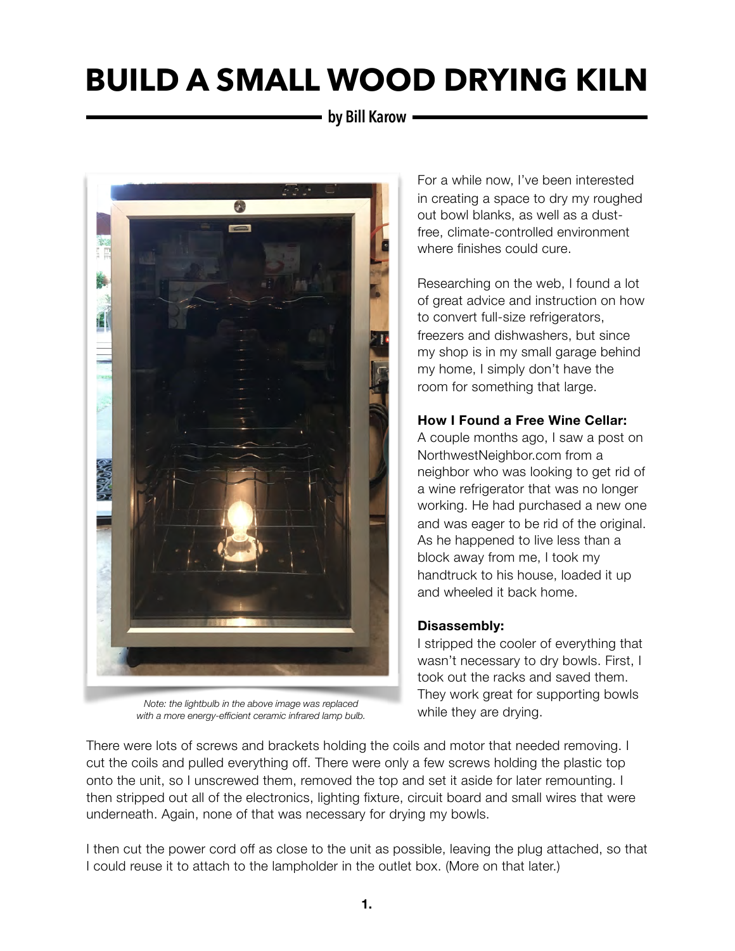## **by Bill Karow**



*Note: the lightbulb in the above image was replaced with a more energy-efficient ceramic infrared lamp bulb.*

For a while now, I've been interested in creating a space to dry my roughed out bowl blanks, as well as a dustfree, climate-controlled environment where finishes could cure.

Researching on the web, I found a lot of great advice and instruction on how to convert full-size refrigerators, freezers and dishwashers, but since my shop is in my small garage behind my home, I simply don't have the room for something that large.

### **How I Found a Free Wine Cellar:**

A couple months ago, I saw a post on NorthwestNeighbor.com from a neighbor who was looking to get rid of a wine refrigerator that was no longer working. He had purchased a new one and was eager to be rid of the original. As he happened to live less than a block away from me, I took my handtruck to his house, loaded it up and wheeled it back home.

### **Disassembly:**

I stripped the cooler of everything that wasn't necessary to dry bowls. First, I took out the racks and saved them. They work great for supporting bowls while they are drying.

There were lots of screws and brackets holding the coils and motor that needed removing. I cut the coils and pulled everything off. There were only a few screws holding the plastic top onto the unit, so I unscrewed them, removed the top and set it aside for later remounting. I then stripped out all of the electronics, lighting fixture, circuit board and small wires that were underneath. Again, none of that was necessary for drying my bowls.

I then cut the power cord off as close to the unit as possible, leaving the plug attached, so that I could reuse it to attach to the lampholder in the outlet box. (More on that later.)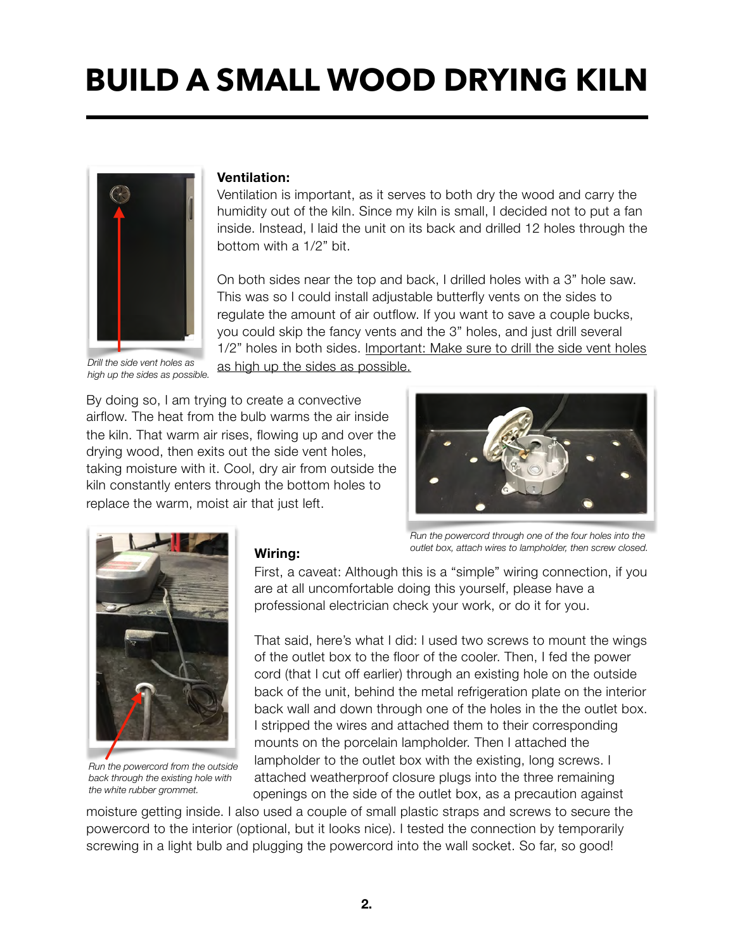

*Drill the side vent holes as high up the sides as possible.*

#### **Ventilation:**

Ventilation is important, as it serves to both dry the wood and carry the humidity out of the kiln. Since my kiln is small, I decided not to put a fan inside. Instead, I laid the unit on its back and drilled 12 holes through the bottom with a 1/2" bit.

On both sides near the top and back, I drilled holes with a 3" hole saw. This was so I could install adjustable butterfly vents on the sides to regulate the amount of air outflow. If you want to save a couple bucks, you could skip the fancy vents and the 3" holes, and just drill several 1/2" holes in both sides. Important: Make sure to drill the side vent holes as high up the sides as possible.

By doing so, I am trying to create a convective airflow. The heat from the bulb warms the air inside the kiln. That warm air rises, flowing up and over the drying wood, then exits out the side vent holes, taking moisture with it. Cool, dry air from outside the kiln constantly enters through the bottom holes to replace the warm, moist air that just left.





*Run the powercord from the outside back through the existing hole with the white rubber grommet.*

#### **Wiring:**

*Run the powercord through one of the four holes into the outlet box, attach wires to lampholder, then screw closed.* 

First, a caveat: Although this is a "simple" wiring connection, if you are at all uncomfortable doing this yourself, please have a professional electrician check your work, or do it for you.

That said, here's what I did: I used two screws to mount the wings of the outlet box to the floor of the cooler. Then, I fed the power cord (that I cut off earlier) through an existing hole on the outside back of the unit, behind the metal refrigeration plate on the interior back wall and down through one of the holes in the the outlet box. I stripped the wires and attached them to their corresponding mounts on the porcelain lampholder. Then I attached the lampholder to the outlet box with the existing, long screws. I attached weatherproof closure plugs into the three remaining openings on the side of the outlet box, as a precaution against

moisture getting inside. I also used a couple of small plastic straps and screws to secure the powercord to the interior (optional, but it looks nice). I tested the connection by temporarily screwing in a light bulb and plugging the powercord into the wall socket. So far, so good!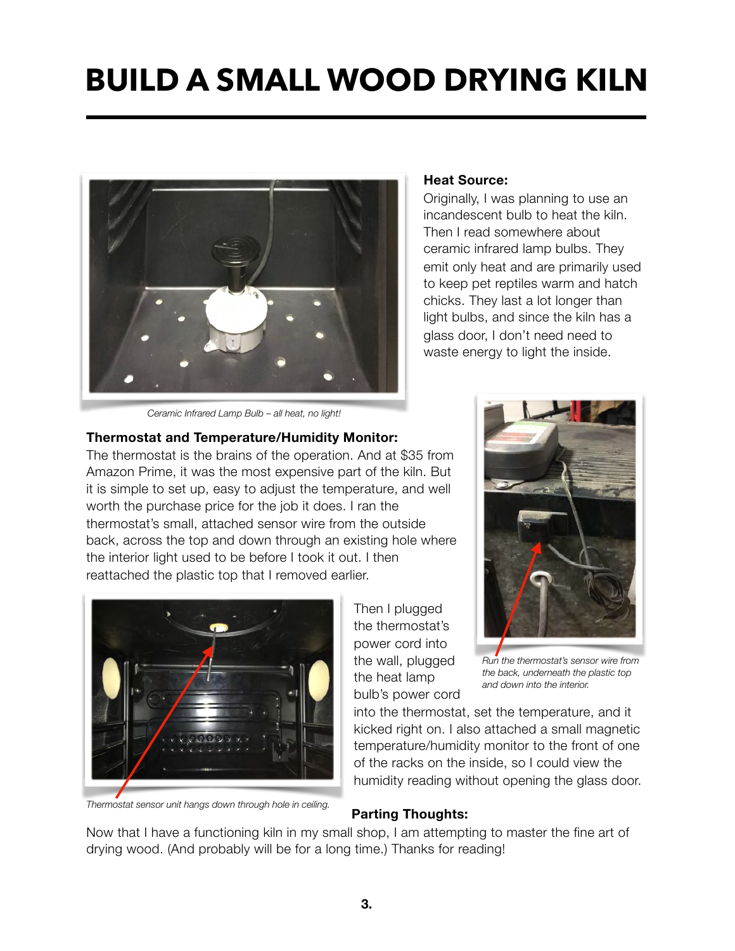

#### **Heat Source:**

Originally, I was planning to use an incandescent bulb to heat the kiln. Then I read somewhere about ceramic infrared lamp bulbs. They emit only heat and are primarily used to keep pet reptiles warm and hatch chicks. They last a lot longer than light bulbs, and since the kiln has a glass door, I don't need need to waste energy to light the inside.

*Ceramic Infrared Lamp Bulb – all heat, no light!*

### **Thermostat and Temperature/Humidity Monitor:**

The thermostat is the brains of the operation. And at \$35 from Amazon Prime, it was the most expensive part of the kiln. But it is simple to set up, easy to adjust the temperature, and well worth the purchase price for the job it does. I ran the thermostat's small, attached sensor wire from the outside back, across the top and down through an existing hole where the interior light used to be before I took it out. I then reattached the plastic top that I removed earlier.



*Thermostat sensor unit hangs down through hole in ceiling.*

Then I plugged the thermostat's power cord into the wall, plugged the heat lamp bulb's power cord



*Run the thermostat's sensor wire from the back, underneath the plastic top and down into the interior.*

into the thermostat, set the temperature, and it kicked right on. I also attached a small magnetic temperature/humidity monitor to the front of one of the racks on the inside, so I could view the humidity reading without opening the glass door.

## **Parting Thoughts:**

Now that I have a functioning kiln in my small shop, I am attempting to master the fine art of drying wood. (And probably will be for a long time.) Thanks for reading!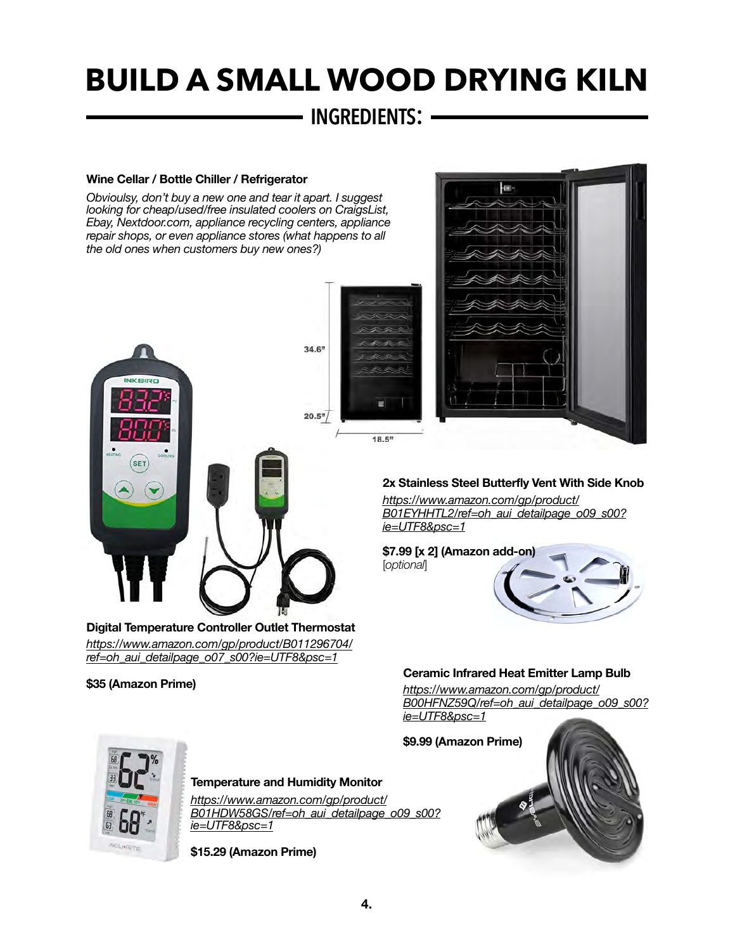## **INGREDIENTS:**

#### **Wine Cellar / Bottle Chiller / Refrigerator**

*Obvioulsy, don't buy a new one and tear it apart. I suggest looking for cheap/used/free insulated coolers on CraigsList, Ebay, Nextdoor.com, appliance recycling centers, appliance repair shops, or even appliance stores (what happens to all the old ones when customers buy new ones?)*





#### **\$35 (Amazon Prime)**



#### **2x Stainless Steel Butterfly Vent With Side Knob**

*[https://www.amazon.com/gp/product/](https://www.amazon.com/gp/product/B01EYHHTL2/ref=oh_aui_detailpage_o09_s00?ie=UTF8&psc=1) [B01EYHHTL2/ref=oh\\_aui\\_detailpage\\_o09\\_s00?](https://www.amazon.com/gp/product/B01EYHHTL2/ref=oh_aui_detailpage_o09_s00?ie=UTF8&psc=1) [ie=UTF8&psc=1](https://www.amazon.com/gp/product/B01EYHHTL2/ref=oh_aui_detailpage_o09_s00?ie=UTF8&psc=1)*



#### **Ceramic Infrared Heat Emitter Lamp Bulb**

*[https://www.amazon.com/gp/product/](https://www.amazon.com/gp/product/B00HFNZ59Q/ref=oh_aui_detailpage_o09_s00?ie=UTF8&psc=1) [B00HFNZ59Q/ref=oh\\_aui\\_detailpage\\_o09\\_s00?](https://www.amazon.com/gp/product/B00HFNZ59Q/ref=oh_aui_detailpage_o09_s00?ie=UTF8&psc=1) [ie=UTF8&psc=1](https://www.amazon.com/gp/product/B00HFNZ59Q/ref=oh_aui_detailpage_o09_s00?ie=UTF8&psc=1)*



#### **Temperature and Humidity Monitor**

*[https://www.amazon.com/gp/product/](https://www.amazon.com/gp/product/B01HDW58GS/ref=oh_aui_detailpage_o09_s00?ie=UTF8&psc=1) [B01HDW58GS/ref=oh\\_aui\\_detailpage\\_o09\\_s00?](https://www.amazon.com/gp/product/B01HDW58GS/ref=oh_aui_detailpage_o09_s00?ie=UTF8&psc=1) [ie=UTF8&psc=1](https://www.amazon.com/gp/product/B01HDW58GS/ref=oh_aui_detailpage_o09_s00?ie=UTF8&psc=1)*

**\$15.29 (Amazon Prime)**